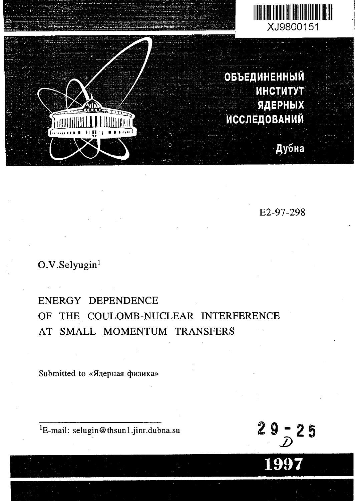



**ОБЪЕДИНЕННЫЙ MHCTMTyT JlflEPHblX MCCJ1EAOBAHMM**

Дубна

E2-97-298

## O.V.Selyugin<sup>1</sup>

## ENERGY DEPENDENCE OF THE COULOMB-NUCLEAR INTERFERENCE AT SMALL MOMENTUM TRANSFERS

Submitted to «Ядерная физика»

 ${}^{1}E$ -mail: selugin@thsun1.jinr.dubna.su

 $29 - 25$ 

**1997**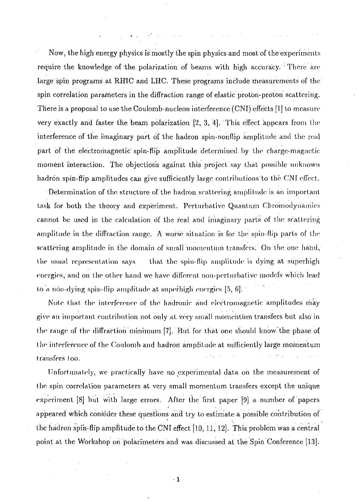Now, the high energy physics is mostly the spin physics and most of the experiments require the knowledge of the polarization of beams with high accuracy. There are large spin programs at RHIC and LHC. These programs include measurements of the spin correlation parameters in the diffraction range of elastic protbn-proton scattering. There is a proposal to use the Coulomb-nucleon interference (CNI) effects [1] to measure very exactly and faster the beam polarization [2, 3, 4]. This effect appears from the interference of the imaginary part of the hadron spin-nonflip amplitude and the real part of the electromagnetic spin-flip amplitude determined by the charge-magnetic moment interaction. The objections against this project say that possible unknown hadron spin-flip amplitudes can give sufficiently large contributions to the CNI effect.

Determination of the structure of the hadron scattering amplitude is an important task for both the theory and experiment. Perturbative Quantum Chromodynamics cannot be used in the calculation of the real and imaginary parts of the scattering amplitude in the diffraction range. A worse situation is for the spin-flip parts of the scattering amplitude in the domain of small'momentum transfers: On the one hand, the usual representation says that the spin-flip amplitude is dying at superhigh energies, and on the other hand we have different non-perturbative models which lead to a non-dying spin-flip amplitude at superhigh energies [5, 6].

Note that the interference of the hadronic and electromagnetic amplitudes may give an important contribution not only at very small momentum transfers but also in the range of the diffraction 'minimum [7]. But for that one should know the phase of the interference of the Coulomb and hadron amplitude at sufficiently large momentum transfers too.

Unfortunately, we practically have no experimental data on the measurement of (he spin correlation parameters at very small momentum transfers except the unique experiment [8] but with large errors. After the first paper [9] a number of papers appeared which consider these questions and try to estimate a possible contribution of the hadron spin-flip amplitude to the CNI effect [10, 11, 12]. This problem was a central point at the Workshop on polarimeters and was discussed at the Spin Conference [13].

 $\pm 1$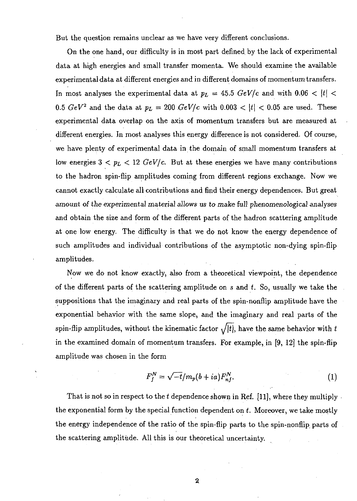But the question remains unclear as we have very different conclusions.

On the one hand, our difficulty is in most part defined by the lack of experimental data at high energies and small transfer momenta. We should examine the available experimental data at different energies and in different domains of momentum transfers. In most analyses the experimental data at  $p_L = 45.5 \ GeV/c$  and with  $0.06 < |t| <$ 0.5  $GeV^2$  and the data at  $p_L = 200 \; GeV/c$  with 0.003  $\lt |t| \lt 0.05$  are used. These experimental data overlap on the axis of momentum transfers but are measured at different energies. In most analyses this energy difference is not considered. Of course, we have plenty of experimental data in the domain of small momentum transfers at low energies  $3 < p_L < 12 \ GeV/c$ . But at these energies we have many contributions to the hadron spin-flip amplitudes coming from different regions exchange. Now we cannot exactly calculate all contributions and find their energy dependences. But great amount of the experimental material allows us to make full phenomenological analyses and obtain the size and form of the different parts of the hadron scattering amplitude at one low energy. The difficulty is that we do not know the energy dependence of such amplitudes and individual contributions of the asymptotic non-dying spin-flip amplitudes.

Now we do not know exactly, also from a theoretical viewpoint, the dependence of the different parts of the scattering amplitude on s and *t.* So, usually we take the suppositions that the imaginary and real parts of the spin-nonflip amplitude have the exponential behavior with the same slope, and the imaginary and real parts of the spin-flip amplitudes, without the kinematic factor  $\sqrt{|t|}$ , have the same behavior with  $t$ in the examined domain of momentum transfers. For example, in [9, 12] the spin-flip amplitude was chosen in the form

$$
F_j^N = \sqrt{-t}/m_p(b+ia)F_{nj}^N.
$$
 (1)

That is not so in respect to the *t* dependence shown in Ref. [11], where they multiply the exponential form by the special function dependent on *t.* Moreover, we take mostly the energy independence of the ratio of the spin-flip parts to the spin-nonflip parts of the scattering amplitude. All this is our theoretical uncertainty.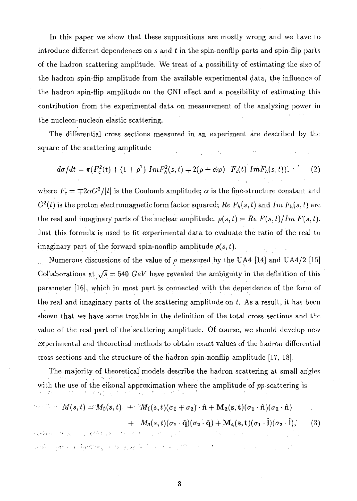In this paper we show that these suppositions are mostly wrong and we have to introduce different dependences on *s* and *t* in the spin-nonflip parts and spin-flip parts of the hadron scattering amplitude. We treat of a possibility of estimating the size of the hadron spin-flip amplitude from the available experimental data, the influence of the hadron spin-flip amplitude on the CNI effect and a possibility of estimating this contribution from the experimental data on measurement of the analyzing power in the nucleon-nucleon elastic scattering.

The differential cross sections measured in an experiment are described by the square of the scattering amplitude

$$
d\sigma/dt = \pi (F_c^2(t) + (1+\rho^2) Im F_h^2(s,t) \mp 2(\rho + \alpha \varphi) F_c(t) Im F_h(s,t)),
$$
\n(2)

where  $F_c = \mp 2\alpha G^2/|t|$  is the Coulomb amplitude;  $\alpha$  is the fine-structure constant and  $G^2(t)$  is the proton electromagnetic form factor squared;  $Re F_h(s,t)$  and  $Im F_h(s,t)$  are the real and imaginary parts of the nuclear amplitude.  $\rho(s,t) = Re F(s,t)/Im F(s,t)$ . Just this formula is used to fit experimental data to evaluate the ratio of the real to imaginary part of the forward spin-nonflip amplitude  $\rho(s,t)$ .

Numerous discussions of the value of *p* measured by the UA4 [14] and UA4/2 [15] Collaborations at  $\sqrt{s}$  = 540 *GeV* have revealed the ambiguity in the definition of this parameter [16], which in most part is connected with the dependence of the form of the real and imaginary parts of the scattering amplitude on *t.* As a result, it has been shown that we have some trouble in the definition of the total cross sections and the value of the real part of the scattering amplitude. Of course, we should develop new experimental and theoretical methods to obtain exact values of the hadron differential cross sections and the structure of the hadron spin-nonflip amplitude [17, 18].

The majority of theoretical models describe the hadron scattering at small angles with the use of the eikonal approximation where the amplitude of pp-scattering is

$$
M(s,t) = M_0(s,t) + M_1(s,t)(\sigma_1 + \sigma_2) \cdot \hat{\mathbf{n}} + M_2(s,t)(\sigma_1 \cdot \hat{\mathbf{n}})(\sigma_2 \cdot \hat{\mathbf{n}})
$$

 $+ M_3(s,t)(\sigma_1\cdot \hat{\mathbf{q}})(\sigma_2\cdot \hat{\mathbf{q}}) + \mathbf{M_4}(s,t)(\sigma_1\cdot \hat{\mathbf{l}})(\sigma_2\cdot \hat{\mathbf{l}}),$  (3)

RESSORT TO THE REAL PROPERTY OF THE REPORT OF THE CONTROL OF orde logar es el ferminego el belgia el fel i los los solo tímo el los formas como los como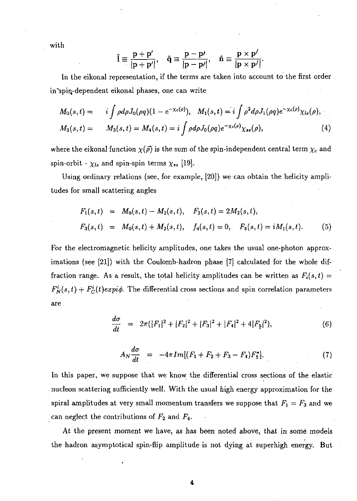vith

$$
\hat{\mathbf{l}} \equiv \frac{\mathbf{p} + \mathbf{p}'}{|\mathbf{p} + \mathbf{p}'|}, \quad \hat{\mathbf{q}} \equiv \frac{\mathbf{p} - \mathbf{p}'}{|\mathbf{p} - \mathbf{p}'|}, \quad \hat{\mathbf{n}} \equiv \frac{\mathbf{p} \times \mathbf{p}'}{|\mathbf{p} \times \mathbf{p}'|}.
$$

In the eikonal representation, if the terms are taken into account to the first order in'spin,-dependent eikonal phases, one can write

$$
M_0(s,t) = i \int \rho d\rho J_0(\rho q) (1 - e^{-\chi_c(\rho)}), \quad M_1(s,t) = i \int \rho^2 d\rho J_1(\rho q) e^{-\chi_c(\rho)} \chi_{ls}(\rho),
$$
  
\n
$$
M_2(s,t) = M_3(s,t) = M_4(s,t) = i \int \rho d\rho J_0(\rho q) e^{-\chi_c(\rho)} \chi_{ss}(\rho),
$$
\n(4)

where the eikonal function  $\chi(\vec{\rho})$  is the sum of the spin-independent central term  $\chi_c$  and spin-orbit -  $\chi_{ls}$  and spin-spin terms  $\chi_{ss}$  [19].

Using ordinary relations (see, for example, [20]) we can obtain the helicity amplitudes for small scattering angles

$$
F_1(s,t) = M_0(s,t) - M_2(s,t), \quad F_2(s,t) = 2M_2(s,t),
$$
  
\n
$$
F_3(s,t) = M_0(s,t) + M_2(s,t), \quad f_4(s,t) = 0, \quad F_5(s,t) = iM_1(s,t).
$$
 (5)

For the electromagnetic helicity amplitudes, one takes the usual one-photon approximations (see [21]) with the Coulomb-hadron phase [7] calculated for the whole diffraction range. As a result, the total helicity amplitudes can be written as  $F_i(s,t)$  $F_N^i(s,t) + F_C^i(t)$ expi $\phi$ . The differential cross sections and spin correlation parameters are

$$
\frac{d\sigma}{dt} = 2\pi(|F_1|^2 + |F_2|^2 + |F_3|^2 + |F_4|^2 + 4|F_{\xi}|^2), \qquad (6)
$$

$$
A_N \frac{d\sigma}{dt} = -4\pi Im[(F_1 + F_2 + F_3 - F_4)F_5^*]. \tag{7}
$$

In this paper, we suppose that we know the differential cross sections of the elastic nucleon scattering sufficiently well. With the usual high energy approximation for the spiral amplitudes at very small momentum transfers we suppose that  $F_1 = F_3$  and we can neglect the contributions of *F2* and F4.

At the present moment we have, as has been noted above, that in some models the hadron asymptotical spin-flip amplitude is not dying at superhigh energy. But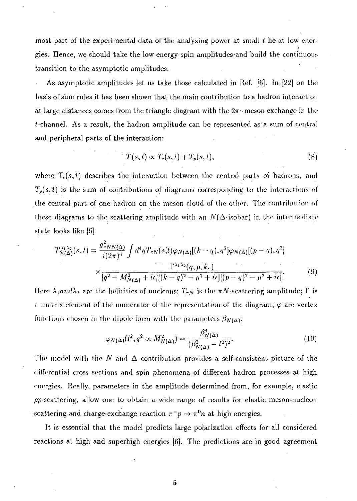most part of the experimental data of the analyzing power at small *t* lie at low energies. Hence, we should take the low energy spin amplitudes and build the continuous transition to the asymptotic amplitudes.

As asymptotic amplitudes let us take those calculated in Ref. [6]. In [22] on the basis of sum rules it has been shown that the main contribution to a hadron interaction at large distances comes from the triangle diagram with the  $2\pi$ -meson exchange in the  $t$ -channel. As a result, the hadron amplitude can be represented as a sum of central and peripheral parts of the interaction:

$$
T(s,t) \propto T_c(s,t) + T_p(s,t), \qquad (8)
$$

where  $T_c(s,t)$  describes the interaction between the central parts of hadrons, and  $T_p(s,t)$  is the sum of contributions of diagrams corresponding to the interactions of the central part of one hadron on the meson cloud of the other. The contribution of these diagrams to the scattering amplitude with an  $N(\Delta$ -isobar) in the intermediate state looks like [6]

$$
T_{N(\Delta)}^{\lambda_1 \lambda_2}(s,t) = \frac{g_{\pi NN(\Delta)}^2}{i(2\pi)^4} \int d^4 q T_{\pi N}(s,t) \varphi_{N(\Delta)}[(k-q), q^2] \varphi_{N(\Delta)}[(p-q), q^2]
$$

$$
\times \frac{\Gamma^{\lambda_1 \lambda_2}(q, p, k,)}{[q^2 - M_{N(\Delta)}^2 + i\epsilon][(k-q)^2 - \mu^2 + i\epsilon][(p-q)^2 - \mu^2 + i\epsilon]}.
$$
(9)

tiere *X*<sub>*l*</sub>*and*<sub>*X*</sub><sup>2</sup> are the helicities of nurleons; *1*<sub>N</sub>N is the *n*<sub>V</sub>-scattering amplitude; *V* is a matrix element of the numerator of the representation of the diagram;  $\varphi$  are vertex functions chosen in the dipole form with the parameters  $\beta_{N(\Delta)}$ :

$$
\varphi_{N(\Delta)}(l^2, q^2 \propto M_{N(\Delta)}^2) = \frac{\beta_{N(\Delta)}^4}{(\beta_{N(\Delta)}^2 - l^2)^2}.
$$
\n(10)

The model with the N and  $\Delta$  contribution provides a self-consistent picture of the differential cross sections and spin phenomena of different hadron processes at high energies. Really, parameters in the amplitude determined from, for example, elastic pp-scattering, allow one to obtain a wide range of results for elastic meson-nucleon scattering and charge-exchange reaction  $\pi^-p \to \pi^0n$  at high energies.

It is essential that the model predicts large polarization effects for all considered reactions at high and superhigh energies [6). The predictions are in good agreement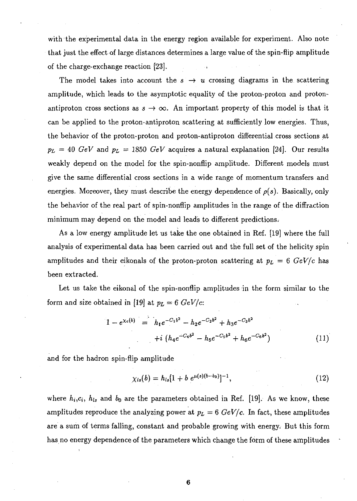with the experimental data in the energy region available for experiment. Also note that just the effect of large distances determines a large value of the spin-flip amplitude of the charge-exchange reaction [23].

The model takes into account the  $s \to u$  crossing diagrams in the scattering amplitude, which leads to the asymptotic equality of the proton-proton and protonantiproton cross sections as  $s \to \infty$ . An important property of this model is that it can be applied to the proton-antiproton scattering at sufficiently low energies. Thus, the behavior of the proton-proton and proton-antiproton differential cross sections at  $p_L = 40 \text{ GeV}$  and  $p_L = 1850 \text{ GeV}$  acquires a natural explanation [24]. Our results weakly depend on the model for the spin-nonflip amplitude. Different models must give the same differential cross sections in a wide range of momentum transfers and energies. Moreover, they must describe the energy dependence of  $\rho(s)$ . Basically, only the behavior of the real part of spin-nonflip amplitudes in the range of the diffraction minimum may depend on the model and leads to different predictions.

As a low energy amplitude let us take the one obtained in Ref. [19] where the full analysis of experimental data has been carried out and the full set of the helicity spin amplitudes and their eikonals of the proton-proton scattering at  $p_L = 6$   $GeV/c$  has been extracted.

Let us take the eikonal of the spin-nonflip amplitudes in the form similar to the form and size obtained in [19] at  $p_L = 6 \text{ GeV/c}$ :

$$
1 - e^{\chi_c(b)} = h_1 e^{-C_1 b^2} - h_2 e^{-C_2 b^2} + h_3 e^{-C_3 b^2} + i (h_4 e^{-C_4 b^2} - h_5 e^{-C_5 b^2} + h_6 e^{-C_6 b^2})
$$
\n(11)

and for the hadron spin-flip amplitude

$$
\chi_{ls}(b) = h_{ls}[1 + b \ e^{\mu(s)(b - b_0)}]^{-1}, \tag{12}
$$

where  $h_i,c_i, h_{ls}$  and  $b_0$  are the parameters obtained in Ref. [19]. As we know, these amplitudes reproduce the analyzing power at  $p_L = 6$   $GeV/c$ . In fact, these amplitudes are a sum of terms falling, constant and probable growing with energy. But this form has no energy dependence of the parameters which change the form of these amplitudes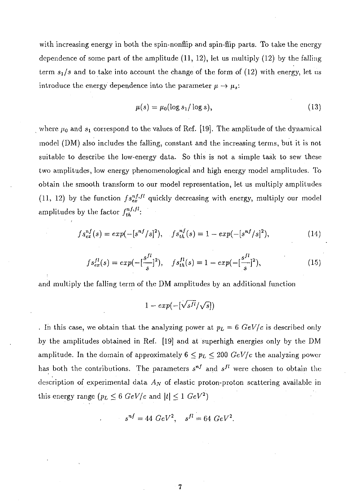with increasing energy in both the spin-nonflip and spin-flip parts. To take the energy dependence of some part of the amplitude  $(11, 12)$ , let us multiply  $(12)$  by the falling term *sj/s* and to take into account the change of the form of (12) with energy, let us introduce the energy dependence into the parameter  $\mu \rightarrow \mu_s$ :

$$
\mu(s) = \mu_0(\log s_1/\log s),\tag{13}
$$

where  $\mu_0$  and  $s_1$  correspond to the values of Ref. [19]. The amplitude of the dynamical model (DM) also includes the falling, constant and the increasing terms, but it is not suitable to describe the low-energy data. So this is not a simple task to sew these two amplitudes, low energy phenomenological and high energy model amplitudes. To obtain the smooth transform to our model representation, let us multiply amplitudes (11, 12) by the function  $fs_{ex}^{nf,fl}$  quickly decreasing with energy, multiply our model amplitudes by the factor  $f_{th}^{nf,fl}$ :

$$
fs_{ex}^{nf}(s) = exp(-[s^{nf}/s]^2), \quad fs_{th}^{nf}(s) = 1 - exp(-[s^{nf}/s]^2), \tag{14}
$$

$$
fs_{ex}^{fl}(s) = exp(-\left[\frac{s^{fl}}{s}\right]^2), \quad fs_{th}^{fl}(s) = 1 - exp(-\left[\frac{s^{fl}}{s}\right]^2), \tag{15}
$$

and multiply the falling term of the DM amplitudes by an additional function

$$
1 - exp(-\left[\sqrt{s^{fl}}/\sqrt{s}\right])
$$

. In this case, we obtain that the analyzing power at  $p_L = 6$   $GeV/c$  is described only .by the amplitudes obtained in Ref. [19] and at superhigh energies only by the DM amplitude. In the domain of approximately  $6 \leq p_L \leq 200 \text{ GeV/c}$  the analyzing power has both the contributions. The parameters  $s^{nf}$  and  $s^{fl}$  were chosen to obtain the description of experimental data  $A_N$  of elastic proton-proton scattering available in this energy range  $(p_L \leq 6 \ GeV/c$  and  $|t| \leq 1 \ GeV^2)$ 

$$
s^{nf} = 44 \ GeV^2, \quad s^{fl} = 64 \ GeV^2.
$$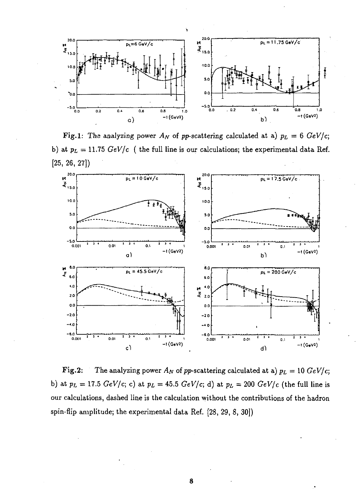

**Fig.1:** The analyzing power  $A_N$  of pp-scattering calculated at a)  $p_L = 6$  GeV/c; b) at *pi =* 11.75 *GeV/c* ( the full line is our calculations; the experimental data Ref.



Fig.2: The analyzing power  $A_N$  of pp-scattering calculated at a)  $p_L = 10 \text{ GeV/c}$ ; b) at  $p_L = 17.5$   $GeV/c$ ; c) at  $p_L = 45.5$   $GeV/c$ ; d) at  $p_L = 200$   $GeV/c$  (the full line is our calculations, dashed line is the calculation without the contributions of the hadron spin-flip amplitude; the experimental data Ref. [28, 29, 8, 30])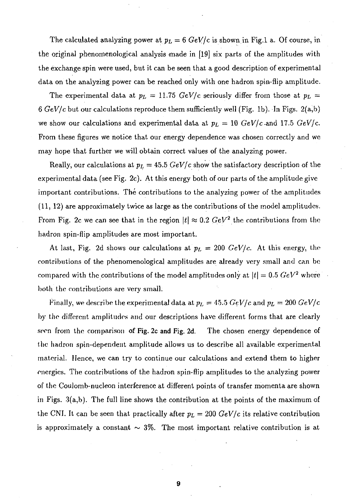The calculated analyzing power at  $p_L = 6$  GeV/c is shown in Fig.1 a. Of course, in the original phenomenological analysis made in [19] six parts of the amplitudes with the exchange spin were used, but it can be seen that a good description of experimental data on the analyzing power can be reached only with one hadron spin-flip amplitude.

The experimental data at  $p_L = 11.75 \text{ GeV/c}$  seriously differ from those at  $p_L =$ 6 *GeV/c* but our calculations reproduce them sufficiently well (Fig. lb). In Figs. 2(a,b) we show our calculations and experimental data at  $p_L = 10$   $GeV/c$  and 17.5  $GeV/c$ . From these figures we notice that our energy dependence was chosen correctly and we may hope that further we will obtain correct values of the analyzing power.

Really, our calculations at  $p_L = 45.5 \ GeV/c$  show the satisfactory description of the experimental data (see Fig. 2c). At this energy both of our parts of the amplitude give important contributions. The contributions to the analyzing power of the amplitudes (11, 12) are approximately twice as large as the contributions of the model amplitudes. From Fig. 2c we can see that in the region  $\vert t\vert \approx 0.2$   $GeV^2$  the contributions from the hadron spin-flip amplitudes are most important.

At last, Fig. 2d shows our calculations at  $p_L = 200 \text{ GeV}/c$ . At this energy, the contributions of the phenomenological amplitudes are already very small and can be compared with the contributions of the model amplitudes only at  $\vert t\vert = 0.5~GeV^2$  where both the contributions are very small.

Finally, we describe the experimental data at  $p_L = 45.5~GeV/c$  and  $p_L = 200~GeV/c$ by the different amplitudes and our descriptions have different forms that are clearly seen from the comparison of Fig. 2c and Fig. 2d. The chosen energy dependence of the hadron spin-dependent amplitude allows us to describe all available experimental material. Hence, we can try to continue our calculations and extend them to higher energies. The contributions of the hadron spin-flip amplitudes to the analyzing power of the Couiomb-nucleon interference at different points of transfer momenta are shown in Figs. 3(a,b). The full line shows the contribution at the points of the maximum of the CNI. It can be seen that practically after  $p_L = 200 \text{ GeV}/c$  its relative contribution is approximately a constant  $\sim 3\%$ . The most important relative contribution is at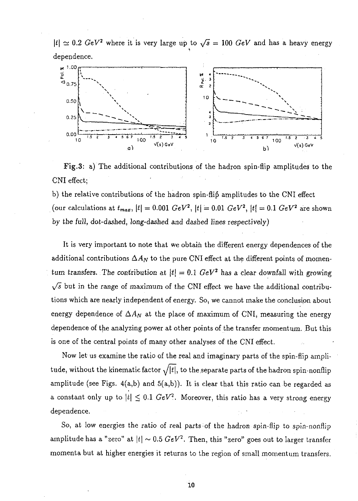$|t| \simeq 0.2 \; GeV^2$  where it is very large up to  $\sqrt{s} = 100 \; GeV$  and has a heavy energy dependence.



Fig.3: a) The additional contributions of the hadron spin-flip amplitudes to the CNI effect;

b) the relative contributions of the hadron spin-flip amplitudes to the CNI effect  $\sigma$  (our calculations at  $t_{max}$ ,  $|t| = 0.001$   $GeV^2$ ,  $|t| = 0.01$   $GeV^2$ ,  $|t| = 0.1$   $GeV^2$  are shown by the full, dot-dashed, long-dashed and dashed lines respectively)

It is very important to note that we obtain the different energy dependences of the additional contributions  $\Delta A_N$  to the pure CNI effect at the different points of momentum transfers. The contribution at  $|t| = 0.1$   $GeV^2$  has a clear downfall with growing  $\sqrt{s}$  but in the range of maximum of the CNI effect we have the additional contributions which are nearly independent of energy. So, we cannot make the conclusion about energy dependence of  $\Delta A_N$  at the place of maximum of CNI, measuring the energy dependence of the analyzing power at other points of the transfer momentum. But this is one of the central points of many other analyses of the CNI effect.

Now let us examine the ratio of the real and imaginary parts of the spin-flip amplitude, without the kinematic factor  $\sqrt{|t|}$ , to the separate parts of the hadron spin-nonflip amplitude (see Figs.  $4(a,b)$  and  $5(a,b)$ ). It is clear that this ratio can be regarded as a constant only up to  $|t| \leq 0.1$  *GeV*<sup>2</sup>. Moreover, this ratio has a very strong energy dependence.

So, at low energies the ratio of real parts of the hadron spin-flip to spin-nonflip amplitude has a "zero" at  $\vert t\vert \sim 0.5~GeV^2$ . Then, this "zero" goes out to larger transfer momenta but at higher energies it returns to the region of small momentum transfers.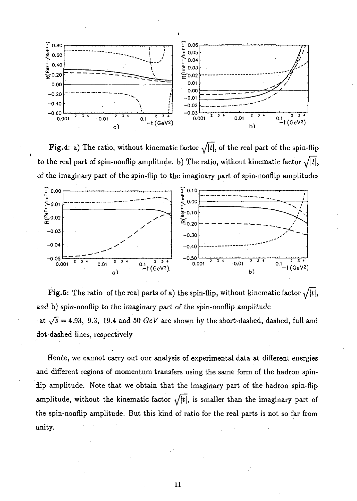

Fig. 4: a) The ratio, without kinematic factor  $\sqrt{|t|}$ , of the real part of the spin-flip to the real part of spin-nonflip amplitude. b) The ratio, without kinematic factor  $\sqrt{|t|}$ , of the imaginary part of the spin-flip to the imaginary part of spin-nonflip amplitudes



Fig.5: The ratio of the real parts of a) the spin-flip, without kinematic factor  $\sqrt{|t|}$ , and b) spin-nonflip to the imaginary part of the spin-nonflip amplitude at  $\sqrt{s} = 4.93$ , 9.3, 19.4 and 50  $GeV$  are shown by the short-dashed, dashed, full and dot-dashed lines, respectively

Hence, we cannot carry out our analysis of experimental data at different energies and different regions of momentum transfers using the same form of the hadron spinflip amplitude. Note that we obtain that the imaginary part of the hadron spin-flip amplitude, without the kinematic factor  $\sqrt{|t|}$ , is smaller than the imaginary part of the spin-nonflip amplitude. But this kind of ratio for the real parts is not so far from unity.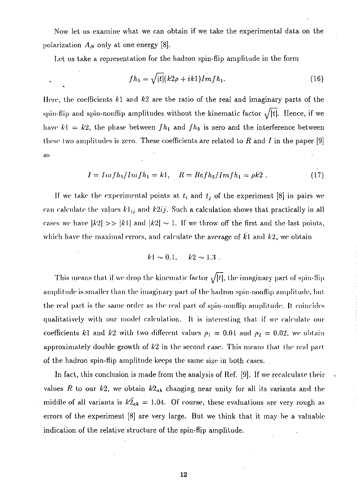Now let us examine what we can obtain if we take the experimental data on the polarization  $A_N$  only at one energy [8].

Let us take a representation for the hadron spin-flip amplitude in the form

$$
fh_5 = \sqrt{|t|}(k2\rho + ik1)Imfh_1.
$$
 (16)

Here, the coefficients  $k1$  and  $k2$  are the ratio of the real and imaginary parts of the spin-flip and spin-nonflip amplitudes without the kinematic factor  $\sqrt{|t|}$ . Hence, if we have  $k! = k2$ , the phase between  $fh_1$  and  $fh_5$  is zero and the interference between these two amplitudes is zero. These coefficients are related to  $R$  and  $I$  in the paper [9] as

$$
I = Imfh_5/Imfh_1 = k1, \quad R = Refh_5/Imfh_1 = \rho k2. \tag{17}
$$

If we take the experimental points at  $t_i$  and  $t_j$  of the experiment [8] in pairs we can calculate the values  $k1_{ij}$  and  $k2ij$ . Such a calculation shows that practically in all cases we have  $|k2| \gg |k1|$  and  $|k2| \sim 1$ . If we throw off the first and the last points, which have the maximal errors, and calculate the average of  $\overline{k}$ l and  $\overline{k}$ <sub>2</sub>, we obtain

$$
k1 \sim 0.1, \quad k2 \sim 1.3
$$
.

This means that if we drop the kinematic factor  $\sqrt{|t|}$ , the imaginary part of spin-flip amplitude is smaller than the imaginary part of the hadron spin-nonflip amplitude, but the real part is the same order as the real part of spiri-nonflip amplitude. It coincides qualitatively with our model calculation. It is interesting that if we calculate our coefficients k1 and k2 with two different values  $\rho_1 = 0.04$  and  $\rho_2 = 0.02$ , we obtain approximately double growth of  $k2$  in the second case. This means that the real part of the hadron spin-flip amplitude keeps the same size in both cases.

In fact, this conclusion is made from the analysis of Ref. [9]. If we recalculate their values R to our  $k_2$ , we obtain  $k_2$ <sup>*a*</sup><sub>*k*</sub> changing near unity for all its variants and the middle of all variants is  $k\overline{2}_{ak} = 1.04$ . Of course, these evaluations are very rough as errors of the experiment [8] are very large. But we think that it may be a valuable indication of the relative structure of the spin-flip amplitude.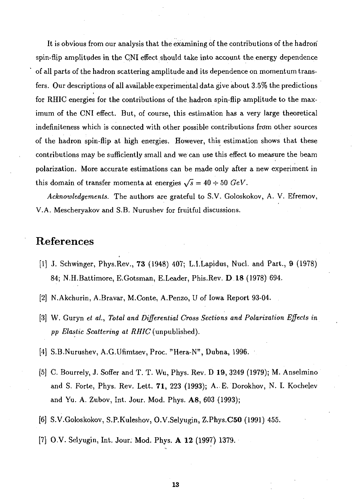It is obvious from our analysis that the examining of the contributions of the hadrori spin-flip amplitudes in the CNI effect should take into account the energy dependence of all parts of the hadron scattering amplitude and its dependence on momentum transfers. Our descriptions of all available experimental data give about 3.5% the predictions for RHIC energies for the contributions of the hadron spin-flip amplitude to the maximum of the CNI effect. But, of course, this estimation has a very large theoretical indefiniteness which is connected with other possible contributions from other sources of the hadron spin-flip at high energies. However, this estimation shows that these contributions may be sufficiently small and we can use this effect to measure the beam polarization. More accurate estimations can be made only after a new experiment in this domain of transfer momenta at energies  $\sqrt{s} = 40 \div 50$  GeV.

*Acknowledgements.* The authors are grateful to S.V. Goloskokov, A. V. Efremov, V.A. Mescheryakov and S.B. Nurushev for fruitful discussions.

## References

- [1] J. Schwinger, Phys.Rev., 73 (1948) 407; L.I.Lapidus, Nucl. and Part., 9 (1978) 84; N.H.Battimore, E.Gotsman, E.Leader, Phis.Rev. D 18 (1978) 694.
- [2] N.Akchurin, A.Bravar, M.Conte, A.Penzo, U of Iowa Report 93-04.
- [3] W. Guryn *et al., Total and Differential Cross Sections and Polarization Effects in pp Elastic Scattering at RHIC* (unpublished).
- [4] S.B.Nurushev, A.G.Ufimtsev, Proc. "Hera-N", Dubna, 1996.
- [5] C. Bourrely, J. Soffer and T. T. Wu, Phys. Rev. D 19, 3249 (1979); M. Anselmino and S. Forte, Phys. Rev. Lett. 71, 223 (1993); A. E. Dorokhov, N. I. Kochelev and Yu. A. Zubov, Int. Jour. Mod. Phys. A8, 603 (1993);
- [6] S.V.Goloskokov, S.P.Kuleshov, O.V.Selyugin, Z.Phys.C50 (1991) 455.
- [7] O.V. Selyugin, Int. Jour. Mod. Phys. A 12 (1997) 1379.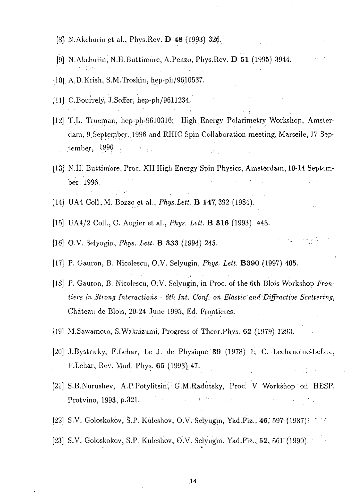- [8]<sub> $\cdot$ </sub> N.Akchurin et al., Phys.Rev. **D 48** (1993) 326.
- [9] N.Akchurin, N.H.Buttimore, A.Penzo, Phys.Rev. D 51 (1995) 3944. '
- [10]. A.D.Krish, S.M.Troshin, hep-ph/9610537.
- [11] C.Bourrely, J.Soffer, hep-ph/9611234.
- [12] T.L. Trueman, hep-ph-9610316; High Energy Polarimetry Workshop, Amsterdam, 9 September, 1996 and RHIC Spin Collaboration meeting, Marseile, 17 September, 1996 .
- [13] N.H. Buttim'ore, Proc. XII High Energy Spin Physics, Amsterdam, 10-14 Septem- $\mathcal{L}_{\mathrm{L}}$  , where  $\mathcal{L}_{\mathrm{L}}$ ber. 1996.
- [14] UA4 ColL.M. Bozzo et al., *Phys.Lett.* B **147,** 392 (1984).
- [15] UA4/2 Coll., C. Augier et al., *Phys. Lett.* B **316** (1993) 448.
- [16] O.V. Selyugin, *Phys. Lett.* B **333** (1994) 245. •
- [17] P. Gauron, B. Nicolescu, O.V. Selyugin, *Phys. Lett.* **B390** (1997) 405.
- *[18\* P. Gauron, B. Nicolescu, O.V. Selyugin, in Proc. of the 6th Blois Workshop *Frontiers in Strong Interactions - 6th Int. Corif. on Elastic and Diffractive Scattering,* Chateau de Blois, 20-24 June 1995, Ed. Frontieres.
- [19] M.Sawamoto, S.Wakaizumi, Progress of Theor.Phys. 62 (1979) 1293.
- [20] J.Bystricky, F.Lehar, Le J. de Physique **39** (1978) 1; C. Lechanoine-LeLuc, F.Lehar, Rev. Mod. Phys. 65 (1993) 47.
- [21] S.B.Nurushev, A.P.Potylitsin; G.M.Radutsky, Proc. V Workshop on HESP, Protvino, 1993, p.321.
- [22] S.V. Goloskokov, S.P. Kuleshov, O.V. Selyugin, Yad.Piz'., **46;** 597' (1987); ' •'
- [23] S.V. Goloskokov, S.P. Kuleshov, O'.V. Selyugin, Yad.Fiz., 52, 561 (1990).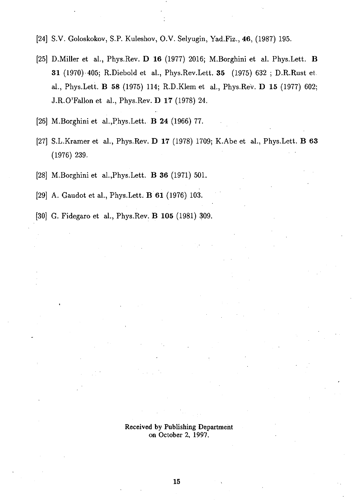- [24] S.V. Goloskokov, S.P. Kuleshov, O.V. Selyugin, Yad.Fiz., 46, (1987) 195.
- [25] D.Miller et al., Phys.Rev. D 16 (1977) 2016; M.Borghini et al. Phys.Lett. B 31 (1970) 405; R.Diebold et al., Phys.Rev.Lett. 35 (1975) 632 ; D.R.Rust et al., Phys.Lett. B 58 (1975) 114; R.D.Klem et al., Phys.Rev. D 15 (1977) 602; J.R.O'Fallon et al., Phys.Rev. D 17 (1978) 24.
- [26] M.Borghini et al.,Phys.Lett. B 24 (1966) 77.
- [27] S.L.Kramer et al., Phys.Rev. D 17 (1978) 1709; K.Abe et al., Phys.Lett. B 63 (1976) 239.
- [28] M.Borghini et al.,Phys.Lett. B 36 (1971) 501.
- [29] A. Gaudot et al., Phys.Lett. B 61 (1976) 103.
- [30] G. Fidegaro et al., Phys.Rev. B 105 (1981) 309.

Received by Publishing Department on October 2, 1997.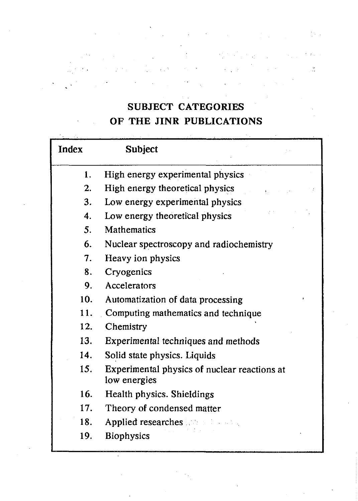## **SUBJECT CATEGORIES OF THE JINR PUBLICATIONS**

 $\mathbb{R}^{3}$ 

Ŷ,

 $\frac{1}{4}$  ) .

 $\frac{38}{100}$ 

| <b>Index</b> | <b>Subject</b>                                               |
|--------------|--------------------------------------------------------------|
| 1.           | High energy experimental physics                             |
| 2.           | High energy theoretical physics                              |
| 3.           | Low energy experimental physics                              |
| 4.           | Low energy theoretical physics                               |
| 5.           | <b>Mathematics</b>                                           |
| 6.           | Nuclear spectroscopy and radiochemistry                      |
| 7.           | Heavy ion physics                                            |
| 8.           | Cryogenics                                                   |
| 9.           | Accelerators                                                 |
| 10.          | Automatization of data processing                            |
| 11.          | Computing mathematics and technique                          |
| 12.          | Chemistry                                                    |
| 13.          | Experimental techniques and methods                          |
| 14.          | Solid state physics. Liquids                                 |
| 15.          | Experimental physics of nuclear reactions at<br>low energies |
| 16.          | Health physics. Shieldings                                   |
| 17.          | Theory of condensed matter                                   |
| 18.          | <b>Applied researches</b>                                    |
| 19.          | <b>Biophysics</b>                                            |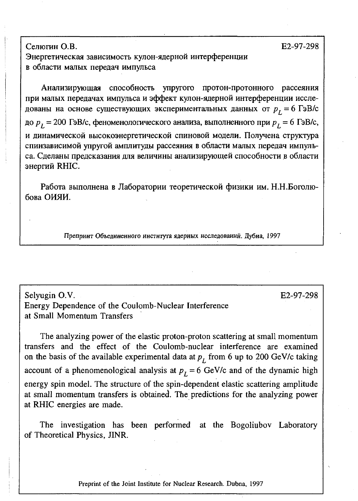Селюгин О.В.  $E$ 2-97-298

Энергетическая зависимость кулон-ядерной интерференции в области малых передач импульса

Анализирующая способность упругого протон-протонного рассеяния при малых передачах импульса и эффект кулон-ядерной интерференции исследованы на основе существующих экспериментальных данных от  $p_{\textit{L}}^{}$  = 6 гэв/  $p_L$  = 200 ГэВ/с, феноменологического анализа, выполненного при  $p_L$  = 6 ГэВ/с, и динамической высокоэнергетической спиновой модели. Получена структура спинзависимой упругой амплитуды рассеяния в области малых передач импульса. Сделаны предсказания для величины анализирующей способности в области энергий RHIC.

Работа выполнена в Лаборатории теоретической физики им. Н.Н.Боголюбова ОИЯИ.

Препринт Объединенного института ядерных исследований. Дубна. 1997

Selyugin O.V. Energy Dependence of the Coulomb-Nuclear Interference at Small Momentum Transfers

The analyzing power of the elastic proton-proton scattering at small momentum transfers and the effect of the Coulomb-nuclear interference are examined on the basis of the available experimental data at  $p<sub>L</sub>$  from 6 up to 200 GeV/c taking account of a phenomenological analysis at  $p_L = 6$  GeV/c and of the dynamic high energy spin model. The structure of the spin-dependent elastic scattering amplitude at small momentum transfers is obtained. The predictions for the analyzing power at RHIC energies are made.

The investigation has been performed at the Bogoliubov Laboratory of Theoretical Physics, JINR.